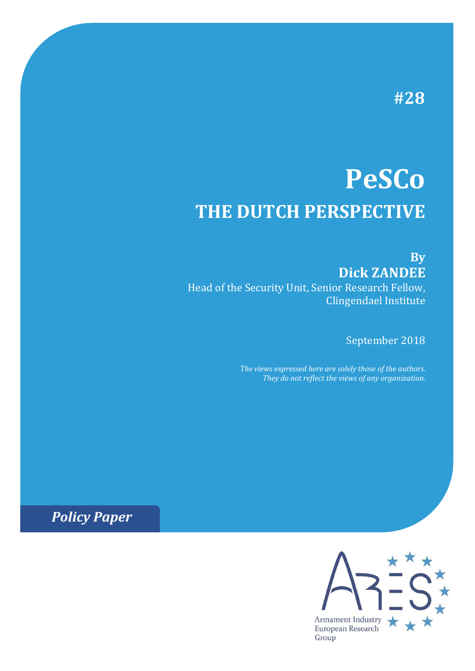# **#28**

# **PeSCo THE DUTCH PERSPECTIVE**

**By Dick ZANDEE**

Head of the Security Unit, Senior Research Fellow, Clingendael Institute

September 2018

*The views expressed here are solely those of the authors. They do not reflect the views of any organization.*

*Policy Paper*

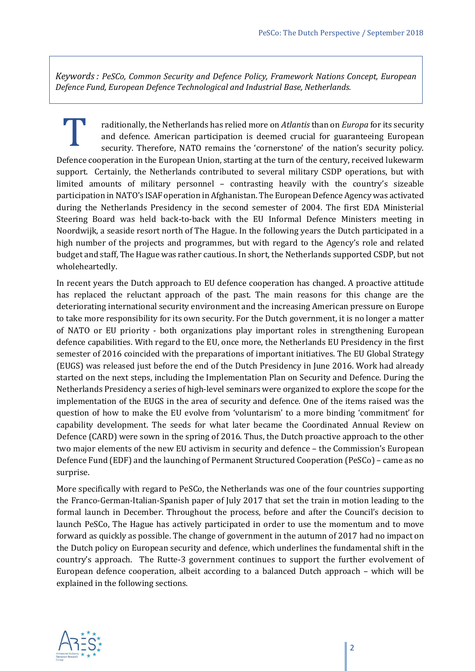*Keywords : PeSCo, Common Security and Defence Policy, Framework Nations Concept, European Defence Fund, European Defence Technological and Industrial Base, Netherlands.*

raditionally, the Netherlands has relied more on *Atlantis* than on *Europa* for its security and defence. American participation is deemed crucial for guaranteeing European security. Therefore, NATO remains the 'cornerstone' of the nation's security policy. raditionally, the Netherlands has relied more on *Atlantis* than on *Europa* for its security<br>and defence. American participation is deemed crucial for guaranteeing European<br>security. Therefore, NATO remains the 'cornersto support. Certainly, the Netherlands contributed to several military CSDP operations, but with limited amounts of military personnel – contrasting heavily with the country's sizeable participation in NATO's ISAF operation in Afghanistan. The European Defence Agency was activated during the Netherlands Presidency in the second semester of 2004. The first EDA Ministerial Steering Board was held back-to-back with the EU Informal Defence Ministers meeting in Noordwijk, a seaside resort north of The Hague. In the following years the Dutch participated in a high number of the projects and programmes, but with regard to the Agency's role and related budget and staff, The Hague was rather cautious. In short, the Netherlands supported CSDP, but not wholeheartedly.

In recent years the Dutch approach to EU defence cooperation has changed. A proactive attitude has replaced the reluctant approach of the past. The main reasons for this change are the deteriorating international security environment and the increasing American pressure on Europe to take more responsibility for its own security. For the Dutch government, it is no longer a matter of NATO or EU priority - both organizations play important roles in strengthening European defence capabilities. With regard to the EU, once more, the Netherlands EU Presidency in the first semester of 2016 coincided with the preparations of important initiatives. The EU Global Strategy (EUGS) was released just before the end of the Dutch Presidency in June 2016. Work had already started on the next steps, including the Implementation Plan on Security and Defence. During the Netherlands Presidency a series of high-level seminars were organized to explore the scope for the implementation of the EUGS in the area of security and defence. One of the items raised was the question of how to make the EU evolve from 'voluntarism' to a more binding 'commitment' for capability development. The seeds for what later became the Coordinated Annual Review on Defence (CARD) were sown in the spring of 2016. Thus, the Dutch proactive approach to the other two major elements of the new EU activism in security and defence – the Commission's European Defence Fund (EDF) and the launching of Permanent Structured Cooperation (PeSCo) – came as no surprise.

More specifically with regard to PeSCo, the Netherlands was one of the four countries supporting the Franco-German-Italian-Spanish paper of July 2017 that set the train in motion leading to the formal launch in December. Throughout the process, before and after the Council's decision to launch PeSCo, The Hague has actively participated in order to use the momentum and to move forward as quickly as possible. The change of government in the autumn of 2017 had no impact on the Dutch policy on European security and defence, which underlines the fundamental shift in the country's approach. The Rutte-3 government continues to support the further evolvement of European defence cooperation, albeit according to a balanced Dutch approach – which will be explained in the following sections.

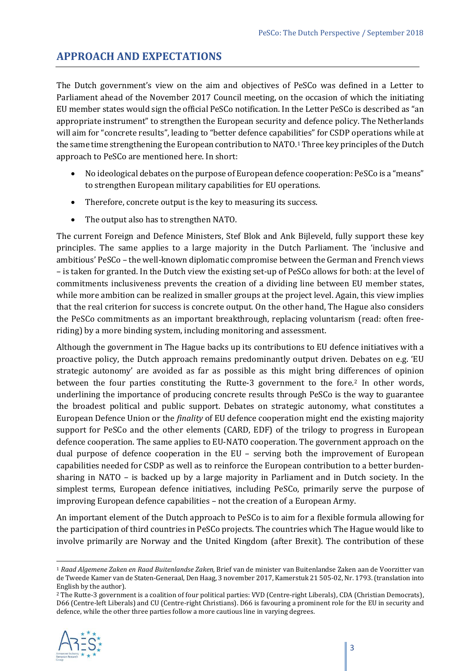### **APPROACH AND EXPECTATIONS**

The Dutch government's view on the aim and objectives of PeSCo was defined in a Letter to Parliament ahead of the November 2017 Council meeting, on the occasion of which the initiating EU member states would sign the official PeSCo notification. In the Letter PeSCo is described as "an appropriate instrument" to strengthen the European security and defence policy. The Netherlands will aim for "concrete results", leading to "better defence capabil[it](#page-2-0)ies" for CSDP operations while at the same time strengthening the European contribution to NATO.<sup>1</sup> Three key principles of the Dutch approach to PeSCo are mentioned here. In short:

- No ideological debates on the purpose of European defence cooperation: PeSCo is a "means" to strengthen European military capabilities for EU operations.
- Therefore, concrete output is the key to measuring its success.
- The output also has to strengthen NATO.

The current Foreign and Defence Ministers, Stef Blok and Ank Bijleveld, fully support these key principles. The same applies to a large majority in the Dutch Parliament. The 'inclusive and ambitious' PeSCo – the well-known diplomatic compromise between the German and French views – is taken for granted. In the Dutch view the existing set-up of PeSCo allows for both: at the level of commitments inclusiveness prevents the creation of a dividing line between EU member states, while more ambition can be realized in smaller groups at the project level. Again, this view implies that the real criterion for success is concrete output. On the other hand, The Hague also considers the PeSCo commitments as an important breakthrough, replacing voluntarism (read: often freeriding) by a more binding system, including monitoring and assessment.

Although the government in The Hague backs up its contributions to EU defence initiatives with a proactive policy, the Dutch approach remains predominantly output driven. Debates on e.g. 'EU strategic autonomy' are avoided as far as possible as this might bring differences of opinion between the four parties constituting the Rutte-3 government to the fore.<sup>[2](#page-2-1)</sup> In other words, underlining the importance of producing concrete results through PeSCo is the way to guarantee the broadest political and public support. Debates on strategic autonomy, what constitutes a European Defence Union or the *finality* of EU defence cooperation might end the existing majority support for PeSCo and the other elements (CARD, EDF) of the trilogy to progress in European defence cooperation. The same applies to EU-NATO cooperation. The government approach on the dual purpose of defence cooperation in the EU – serving both the improvement of European capabilities needed for CSDP as well as to reinforce the European contribution to a better burdensharing in NATO – is backed up by a large majority in Parliament and in Dutch society. In the simplest terms, European defence initiatives, including PeSCo, primarily serve the purpose of improving European defence capabilities – not the creation of a European Army.

An important element of the Dutch approach to PeSCo is to aim for a flexible formula allowing for the participation of third countries in PeSCo projects. The countries which The Hague would like to involve primarily are Norway and the United Kingdom (after Brexit). The contribution of these

<span id="page-2-1"></span><sup>2</sup> The Rutte-3 government is a coalition of four political parties: VVD (Centre-right Liberals), CDA (Christian Democrats), D66 (Centre-left Liberals) and CU (Centre-right Christians). D66 is favouring a prominent role for the EU in security and defence, while the other three parties follow a more cautious line in varying degrees.



<span id="page-2-0"></span> <sup>1</sup> *Raad Algemene Zaken en Raad Buitenlandse Zaken,* Brief van de minister van Buitenlandse Zaken aan de Voorzitter van de Tweede Kamer van de Staten-Generaal, Den Haag, 3 november 2017, Kamerstuk 21 505-02, Nr. 1793. (translation into English by the author).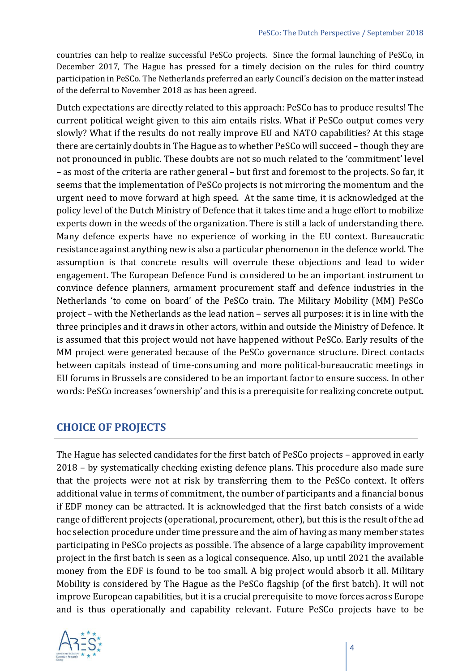countries can help to realize successful PeSCo projects. Since the formal launching of PeSCo, in December 2017, The Hague has pressed for a timely decision on the rules for third country participation in PeSCo. The Netherlands preferred an early Council's decision on the matter instead of the deferral to November 2018 as has been agreed.

Dutch expectations are directly related to this approach: PeSCo has to produce results! The current political weight given to this aim entails risks. What if PeSCo output comes very slowly? What if the results do not really improve EU and NATO capabilities? At this stage there are certainly doubts in The Hague as to whether PeSCo will succeed – though they are not pronounced in public. These doubts are not so much related to the 'commitment' level – as most of the criteria are rather general – but first and foremost to the projects. So far, it seems that the implementation of PeSCo projects is not mirroring the momentum and the urgent need to move forward at high speed. At the same time, it is acknowledged at the policy level of the Dutch Ministry of Defence that it takes time and a huge effort to mobilize experts down in the weeds of the organization. There is still a lack of understanding there. Many defence experts have no experience of working in the EU context. Bureaucratic resistance against anything new is also a particular phenomenon in the defence world. The assumption is that concrete results will overrule these objections and lead to wider engagement. The European Defence Fund is considered to be an important instrument to convince defence planners, armament procurement staff and defence industries in the Netherlands 'to come on board' of the PeSCo train. The Military Mobility (MM) PeSCo project – with the Netherlands as the lead nation – serves all purposes: it is in line with the three principles and it draws in other actors, within and outside the Ministry of Defence. It is assumed that this project would not have happened without PeSCo. Early results of the MM project were generated because of the PeSCo governance structure. Direct contacts between capitals instead of time-consuming and more political-bureaucratic meetings in EU forums in Brussels are considered to be an important factor to ensure success. In other words: PeSCo increases 'ownership' and this is a prerequisite for realizing concrete output.

#### **CHOICE OF PROJECTS**

The Hague has selected candidates for the first batch of PeSCo projects – approved in early 2018 – by systematically checking existing defence plans. This procedure also made sure that the projects were not at risk by transferring them to the PeSCo context. It offers additional value in terms of commitment, the number of participants and a financial bonus if EDF money can be attracted. It is acknowledged that the first batch consists of a wide range of different projects (operational, procurement, other), but this is the result of the ad hoc selection procedure under time pressure and the aim of having as many member states participating in PeSCo projects as possible. The absence of a large capability improvement project in the first batch is seen as a logical consequence. Also, up until 2021 the available money from the EDF is found to be too small. A big project would absorb it all. Military Mobility is considered by The Hague as the PeSCo flagship (of the first batch). It will not improve European capabilities, but it is a crucial prerequisite to move forces across Europe and is thus operationally and capability relevant. Future PeSCo projects have to be

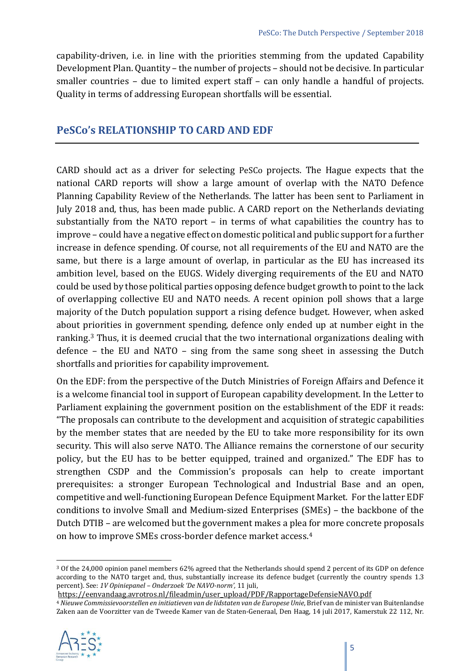capability-driven, i.e. in line with the priorities stemming from the updated Capability Development Plan. Quantity – the number of projects – should not be decisive. In particular smaller countries – due to limited expert staff – can only handle a handful of projects. Quality in terms of addressing European shortfalls will be essential.

#### **PeSCo's RELATIONSHIP TO CARD AND EDF**

CARD should act as a driver for selecting PeSCo projects. The Hague expects that the national CARD reports will show a large amount of overlap with the NATO Defence Planning Capability Review of the Netherlands. The latter has been sent to Parliament in July 2018 and, thus, has been made public. A CARD report on the Netherlands deviating substantially from the NATO report – in terms of what capabilities the country has to improve – could have a negative effect on domestic political and public support for a further increase in defence spending. Of course, not all requirements of the EU and NATO are the same, but there is a large amount of overlap, in particular as the EU has increased its ambition level, based on the EUGS. Widely diverging requirements of the EU and NATO could be used by those political parties opposing defence budget growth to point to the lack of overlapping collective EU and NATO needs. A recent opinion poll shows that a large majority of the Dutch population support a rising defence budget. However, when asked about priorities in government spending, defence only ended up at number eight in the ranking.<sup>[3](#page-4-0)</sup> Thus, it is deemed crucial that the two international organizations dealing with defence – the EU and NATO – sing from the same song sheet in assessing the Dutch shortfalls and priorities for capability improvement.

On the EDF: from the perspective of the Dutch Ministries of Foreign Affairs and Defence it is a welcome financial tool in support of European capability development. In the Letter to Parliament explaining the government position on the establishment of the EDF it reads: "The proposals can contribute to the development and acquisition of strategic capabilities by the member states that are needed by the EU to take more responsibility for its own security. This will also serve NATO. The Alliance remains the cornerstone of our security policy, but the EU has to be better equipped, trained and organized." The EDF has to strengthen CSDP and the Commission's proposals can help to create important prerequisites: a stronger European Technological and Industrial Base and an open, competitive and well-functioning European Defence Equipment Market. For the latter EDF conditions to involve Small and Medium-sized Enterprises (SMEs) – the backbone of the Dutch DTIB – are welcomed but the government makes a plea for more concrete proposals on how to improve SMEs cross-border defence market access.[4](#page-4-1)

<span id="page-4-1"></span><sup>4</sup> *Nieuwe Commissievoorstellen en initiatieven van de lidstaten van de Europese Unie*, Brief van de minister van Buitenlandse Zaken aan de Voorzitter van de Tweede Kamer van de Staten-Generaal, Den Haag, 14 juli 2017, Kamerstuk 22 112, Nr.



<span id="page-4-0"></span> <sup>3</sup> Of the 24,000 opinion panel members 62% agreed that the Netherlands should spend 2 percent of its GDP on defence according to the NATO target and, thus, substantially increase its defence budget (currently the country spends 1.3 percent). See: *1V Opiniepanel – Onderzoek 'De NAVO-norm',* 11 juli,

[https://eenvandaag.avrotros.nl/fileadmin/user\\_upload/PDF/RapportageDefensieNAVO.pdf](https://eenvandaag.avrotros.nl/fileadmin/user_upload/PDF/RapportageDefensieNAVO.pdf)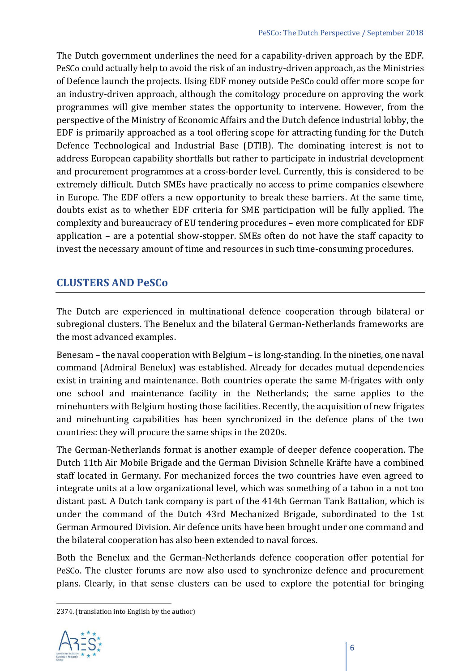The Dutch government underlines the need for a capability-driven approach by the EDF. PeSCo could actually help to avoid the risk of an industry-driven approach, as the Ministries of Defence launch the projects. Using EDF money outside PeSCo could offer more scope for an industry-driven approach, although the comitology procedure on approving the work programmes will give member states the opportunity to intervene. However, from the perspective of the Ministry of Economic Affairs and the Dutch defence industrial lobby, the EDF is primarily approached as a tool offering scope for attracting funding for the Dutch Defence Technological and Industrial Base (DTIB). The dominating interest is not to address European capability shortfalls but rather to participate in industrial development and procurement programmes at a cross-border level. Currently, this is considered to be extremely difficult. Dutch SMEs have practically no access to prime companies elsewhere in Europe. The EDF offers a new opportunity to break these barriers. At the same time, doubts exist as to whether EDF criteria for SME participation will be fully applied. The complexity and bureaucracy of EU tendering procedures – even more complicated for EDF application – are a potential show-stopper. SMEs often do not have the staff capacity to invest the necessary amount of time and resources in such time-consuming procedures.

## **CLUSTERS AND PeSCo**

The Dutch are experienced in multinational defence cooperation through bilateral or subregional clusters. The Benelux and the bilateral German-Netherlands frameworks are the most advanced examples.

Benesam – the naval cooperation with Belgium – is long-standing. In the nineties, one naval command (Admiral Benelux) was established. Already for decades mutual dependencies exist in training and maintenance. Both countries operate the same M-frigates with only one school and maintenance facility in the Netherlands; the same applies to the minehunters with Belgium hosting those facilities. Recently, the acquisition of new frigates and minehunting capabilities has been synchronized in the defence plans of the two countries: they will procure the same ships in the 2020s.

The German-Netherlands format is another example of deeper defence cooperation. The Dutch 11th Air Mobile Brigade and the German Division Schnelle Kräfte have a combined staff located in Germany. For mechanized forces the two countries have even agreed to integrate units at a low organizational level, which was something of a taboo in a not too distant past. A Dutch tank company is part of the 414th German Tank Battalion, which is under the command of the Dutch 43rd Mechanized Brigade, subordinated to the 1st German Armoured Division. Air defence units have been brought under one command and the bilateral cooperation has also been extended to naval forces.

Both the Benelux and the German-Netherlands defence cooperation offer potential for PeSCo. The cluster forums are now also used to synchronize defence and procurement plans. Clearly, in that sense clusters can be used to explore the potential for bringing

 <sup>2374. (</sup>translation into English by the author)

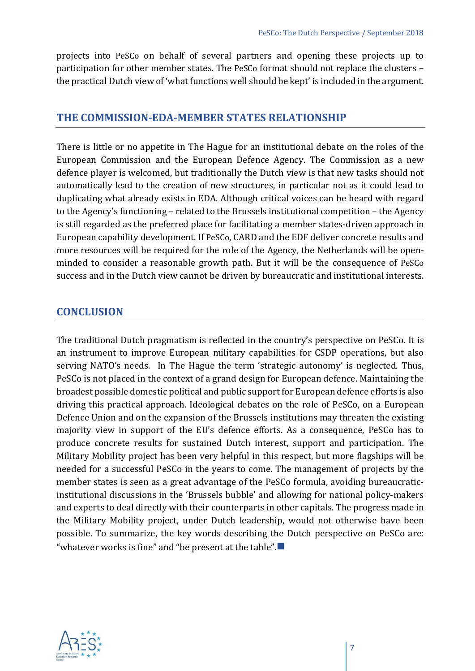projects into PeSCo on behalf of several partners and opening these projects up to participation for other member states. The PeSCo format should not replace the clusters – the practical Dutch view of 'what functions well should be kept' is included in the argument.

#### **THE COMMISSION-EDA-MEMBER STATES RELATIONSHIP**

There is little or no appetite in The Hague for an institutional debate on the roles of the European Commission and the European Defence Agency. The Commission as a new defence player is welcomed, but traditionally the Dutch view is that new tasks should not automatically lead to the creation of new structures, in particular not as it could lead to duplicating what already exists in EDA. Although critical voices can be heard with regard to the Agency's functioning – related to the Brussels institutional competition – the Agency is still regarded as the preferred place for facilitating a member states-driven approach in European capability development. If PeSCo, CARD and the EDF deliver concrete results and more resources will be required for the role of the Agency, the Netherlands will be openminded to consider a reasonable growth path. But it will be the consequence of PeSCo success and in the Dutch view cannot be driven by bureaucratic and institutional interests.

#### **CONCLUSION**

The traditional Dutch pragmatism is reflected in the country's perspective on PeSCo. It is an instrument to improve European military capabilities for CSDP operations, but also serving NATO's needs. In The Hague the term 'strategic autonomy' is neglected. Thus, PeSCo is not placed in the context of a grand design for European defence. Maintaining the broadest possible domestic political and public support for European defence efforts is also driving this practical approach. Ideological debates on the role of PeSCo, on a European Defence Union and on the expansion of the Brussels institutions may threaten the existing majority view in support of the EU's defence efforts. As a consequence, PeSCo has to produce concrete results for sustained Dutch interest, support and participation. The Military Mobility project has been very helpful in this respect, but more flagships will be needed for a successful PeSCo in the years to come. The management of projects by the member states is seen as a great advantage of the PeSCo formula, avoiding bureaucraticinstitutional discussions in the 'Brussels bubble' and allowing for national policy-makers and experts to deal directly with their counterparts in other capitals. The progress made in the Military Mobility project, under Dutch leadership, would not otherwise have been possible. To summarize, the key words describing the Dutch perspective on PeSCo are: "whatever works is fine" and "be present at the table". $\blacksquare$